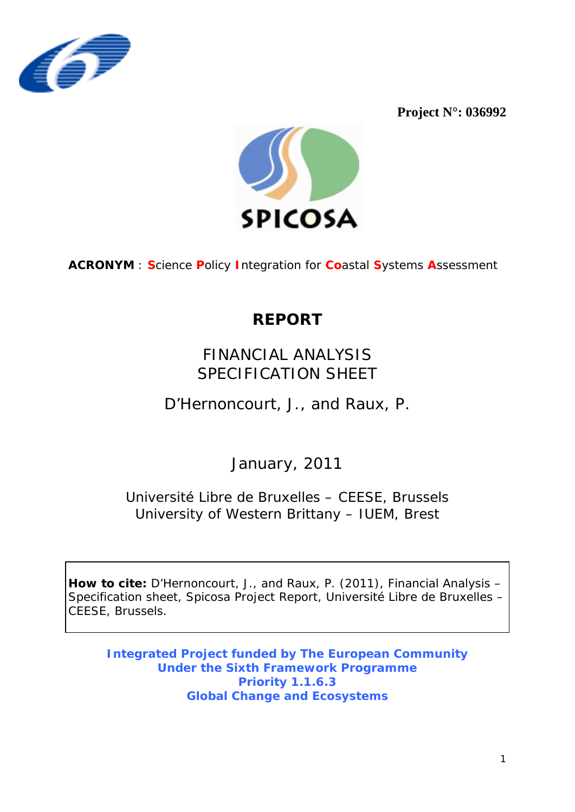

Project  $N^{\circ}$ : 036992



**ACRONYM: Science Policy Integration for Coastal Systems Assessment** 

# **REPORT**

## FINANCIAL ANALYSIS SPECIFICATION SHEET

D'Hernoncourt, J., and Raux, P.

January, 2011

Université Libre de Bruxelles - CEESE, Brussels University of Western Brittany - IUEM, Brest

How to cite: D'Hernoncourt, J., and Raux, P. (2011), Financial Analysis -Specification sheet, Spicosa Project Report, Université Libre de Bruxelles -CEESE, Brussels.

**Integrated Project funded by The European Community Under the Sixth Framework Programme Priority 1.1.6.3 Global Change and Ecosystems**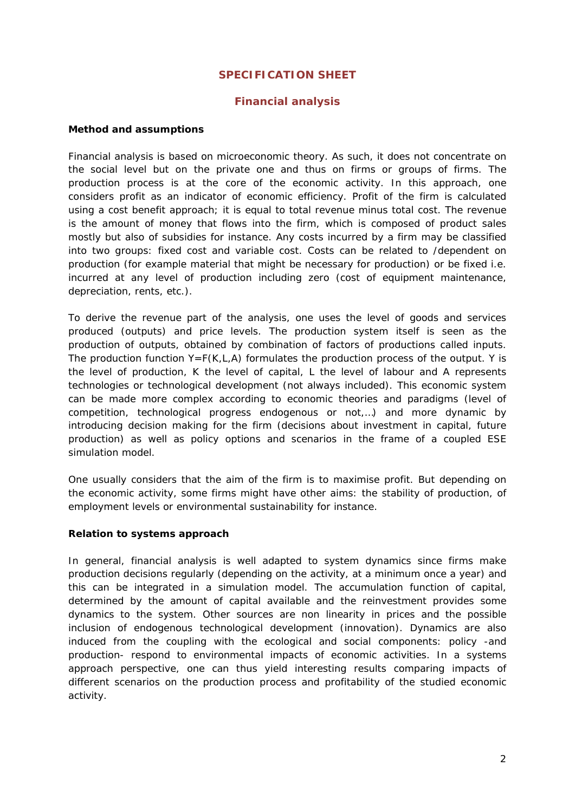### **SPECIFICATION SHEET**

#### **Financial analysis**

#### **Method and assumptions**

Financial analysis is based on microeconomic theory. As such, it does not concentrate on the social level but on the private one and thus on firms or groups of firms. The production process is at the core of the economic activity. In this approach, one considers profit as an indicator of economic efficiency. Profit of the firm is calculated using a cost benefit approach; it is equal to total revenue minus total cost. The revenue is the amount of money that flows into the firm, which is composed of product sales mostly but also of subsidies for instance. Any costs incurred by a [firm](http://en.wikipedia.org/wiki/Corporation) may be classified into two groups: [fixed cost](http://en.wikipedia.org/wiki/Fixed_cost) and [variable cost.](http://en.wikipedia.org/wiki/Variable_cost) Costs can be related to /dependent on production (for example material that might be necessary for production) or be fixed i.e. incurred at any level of production including zero (cost of equipment maintenance, depreciation, rents, etc.).

To derive the revenue part of the analysis, one uses the level of goods and services produced (outputs) and price levels. The production system itself is seen as the production of outputs, obtained by combination of factors of productions called inputs. The production function  $Y = F(K, L, A)$  formulates the production process of the output. Y is the level of production, K the level of capital, L the level of labour and A represents technologies or technological development (not always included). This economic system can be made more complex according to economic theories and paradigms (level of competition, technological progress endogenous or not,…) and more dynamic by introducing decision making for the firm (decisions about investment in capital, future production) as well as policy options and scenarios in the frame of a coupled ESE simulation model.

One usually considers that the aim of the firm is to maximise profit. But depending on the economic activity, some firms might have other aims: the stability of production, of employment levels or environmental sustainability for instance.

#### **Relation to systems approach**

In general, financial analysis is well adapted to system dynamics since firms make production decisions regularly (depending on the activity, at a minimum once a year) and this can be integrated in a simulation model. The accumulation function of capital, determined by the amount of capital available and the reinvestment provides some dynamics to the system. Other sources are non linearity in prices and the possible inclusion of endogenous technological development (innovation). Dynamics are also induced from the coupling with the ecological and social components: policy -and production- respond to environmental impacts of economic activities. In a systems approach perspective, one can thus yield interesting results comparing impacts of different scenarios on the production process and profitability of the studied economic activity.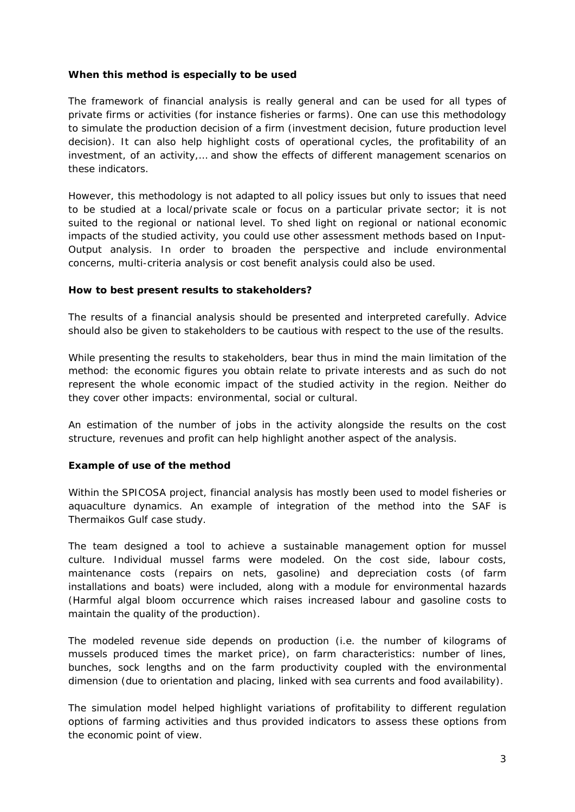#### **When this method is especially to be used**

The framework of financial analysis is really general and can be used for all types of private firms or activities (for instance fisheries or farms). One can use this methodology to simulate the production decision of a firm (investment decision, future production level decision). It can also help highlight costs of operational cycles, the profitability of an investment, of an activity,… and show the effects of different management scenarios on these indicators.

However, this methodology is not adapted to all policy issues but only to issues that need to be studied at a local/private scale or focus on a particular private sector; it is not suited to the regional or national level. To shed light on regional or national economic impacts of the studied activity, you could use other assessment methods based on Input-Output analysis. In order to broaden the perspective and include environmental concerns, multi-criteria analysis or cost benefit analysis could also be used.

#### **How to best present results to stakeholders?**

The results of a financial analysis should be presented and interpreted carefully. Advice should also be given to stakeholders to be cautious with respect to the use of the results.

While presenting the results to stakeholders, bear thus in mind the main limitation of the method: the economic figures you obtain relate to private interests and as such do not represent the whole economic impact of the studied activity in the region. Neither do they cover other impacts: environmental, social or cultural.

An estimation of the number of jobs in the activity alongside the results on the cost structure, revenues and profit can help highlight another aspect of the analysis.

#### **Example of use of the method**

Within the SPICOSA project, financial analysis has mostly been used to model fisheries or aquaculture dynamics. An example of integration of the method into the SAF is Thermaikos Gulf case study.

The team designed a tool to achieve a sustainable management option for mussel culture. Individual mussel farms were modeled. On the cost side, labour costs, maintenance costs (repairs on nets, gasoline) and depreciation costs (of farm installations and boats) were included, along with a module for environmental hazards (Harmful algal bloom occurrence which raises increased labour and gasoline costs to maintain the quality of the production).

The modeled revenue side depends on production (i.e. the number of kilograms of mussels produced times the market price), on farm characteristics: number of lines, bunches, sock lengths and on the farm productivity coupled with the environmental dimension (due to orientation and placing, linked with sea currents and food availability).

The simulation model helped highlight variations of profitability to different regulation options of farming activities and thus provided indicators to assess these options from the economic point of view.